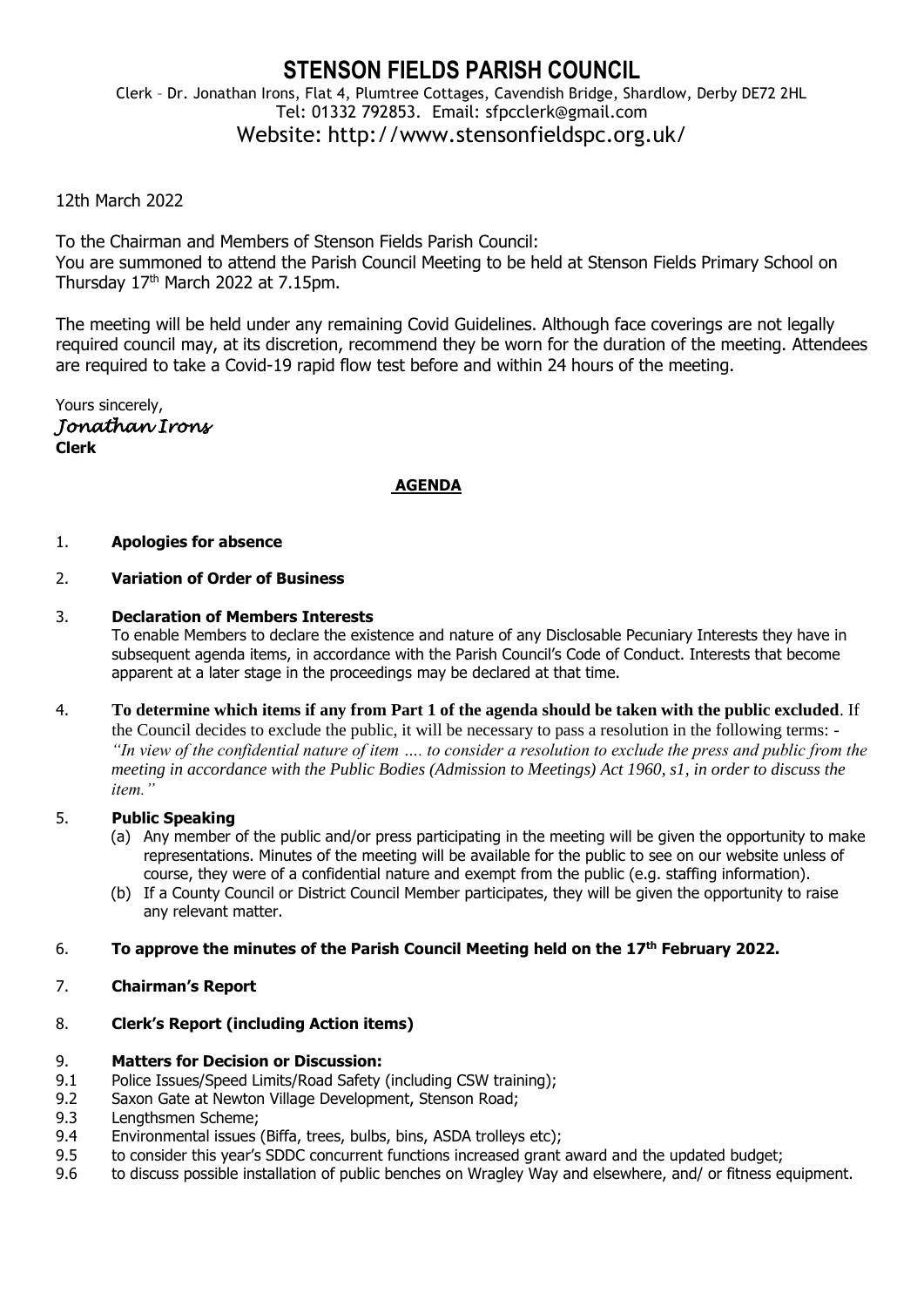# **STENSON FIELDS PARISH COUNCIL** Clerk – Dr. Jonathan Irons, Flat 4, Plumtree Cottages, Cavendish Bridge, Shardlow, Derby DE72 2HL Tel: 01332 792853. Email: sfpcclerk@gmail.com Website: http://www.stensonfieldspc.org.uk/

# 12th March 2022

To the Chairman and Members of Stenson Fields Parish Council: You are summoned to attend the Parish Council Meeting to be held at Stenson Fields Primary School on Thursday  $17<sup>th</sup>$  March 2022 at 7.15pm.

The meeting will be held under any remaining Covid Guidelines. Although face coverings are not legally required council may, at its discretion, recommend they be worn for the duration of the meeting. Attendees are required to take a Covid-19 rapid flow test before and within 24 hours of the meeting.

Yours sincerely, *Jonathan Irons*  **Clerk**

# **AGENDA**

#### 1. **Apologies for absence**

#### 2. **Variation of Order of Business**

#### 3. **Declaration of Members Interests**

To enable Members to declare the existence and nature of any Disclosable Pecuniary Interests they have in subsequent agenda items, in accordance with the Parish Council's Code of Conduct. Interests that become apparent at a later stage in the proceedings may be declared at that time.

4. **To determine which items if any from Part 1 of the agenda should be taken with the public excluded**. If the Council decides to exclude the public, it will be necessary to pass a resolution in the following terms: - *"In view of the confidential nature of item …. to consider a resolution to exclude the press and public from the meeting in accordance with the Public Bodies (Admission to Meetings) Act 1960, s1, in order to discuss the item."* 

#### 5. **Public Speaking**

- (a) Any member of the public and/or press participating in the meeting will be given the opportunity to make representations. Minutes of the meeting will be available for the public to see on our website unless of course, they were of a confidential nature and exempt from the public (e.g. staffing information).
- (b) If a County Council or District Council Member participates, they will be given the opportunity to raise any relevant matter.

# 6. **To approve the minutes of the Parish Council Meeting held on the 17 th February 2022.**

# 7. **Chairman's Report**

# 8. **Clerk's Report (including Action items)**

### 9. **Matters for Decision or Discussion:**

- 9.1 Police Issues/Speed Limits/Road Safety (including CSW training):
- 9.2 Saxon Gate at Newton Village Development, Stenson Road;
- 9.3 Lengthsmen Scheme;
- 9.4 Environmental issues (Biffa, trees, bulbs, bins, ASDA trolleys etc);
- 9.5 to consider this year's SDDC concurrent functions increased grant award and the updated budget;
- 9.6 to discuss possible installation of public benches on Wragley Way and elsewhere, and/ or fitness equipment.